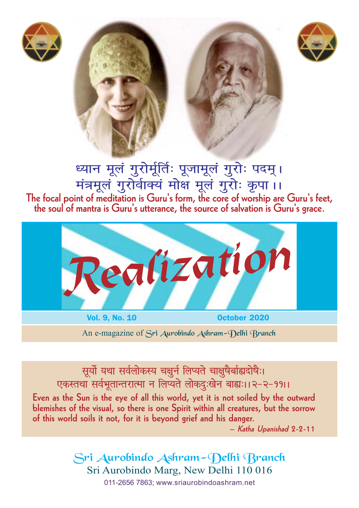





ध्यान मूलं गुरोर्मूर्तिः पूजामूलं गुरोः पदम्।<br>मंत्रमूलं गुरोर्वाक्यं मोक्ष मूलं गुरोः कृपा।। संत्रमूलं गुरोर्वाक्यं मोक्षं मूलं गुरो: कृपा ।।<br>The focal point of meditation is Guru's form, the core of worship are Guru's feet, **the soul of mantra is Guru's utterance, the source of salvation is Guru's grace.**



An e-magazine of Sri Aurobindo Ashram-Delhi Branch

सूर्यो यथा सर्वलोकस्य चक्षुर्न लिप्यते चाक्षुषैर्बाह्यदोषैः। एकस्तथा सर्वभूतान्तरात्मा न लिप्यते लोकदुःखेन बाह्यः।।२-२-११।।

**Even as the Sun is the eye of all this world, yet it is not soiled by the outward blemishes of the visual, so there is one Spirit within all creatures, but the sorrow of this world soils it not, for it is beyond grief and his danger.**

**– Katha Upanishad 2-2-11**

Sri Aurobindo Ashram-Delhi Branch Sri Aurobindo Marg, New Delhi 110 016

011-2656 7863; www.sriaurobindoashram.net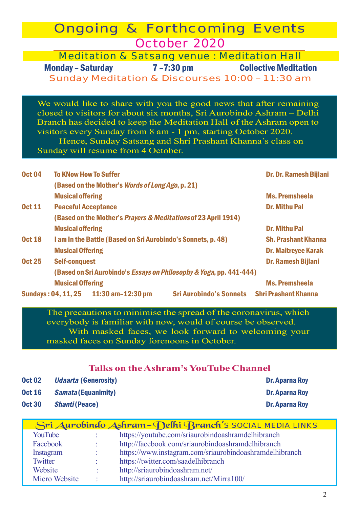# Ongoing & Forthcoming Events October 2020

Meditation & Satsang venue : Meditation Hall Monday – Saturday 7 –7:30 pm Collective Meditation Sunday Meditation & Discourses 10:00 – 11:30 am

We would like to share with you the good news that after remaining closed to visitors for about six months, Sri Aurobindo Ashram – Delhi Branch has decided to keep the Meditation Hall of the Ashram open to visitors every Sunday from 8 am - 1 pm, starting October 2020. Hence, Sunday Satsang and Shri Prashant Khanna's class on

Sunday will resume from 4 October.

| <b>Oct 04</b>                                   | <b>To KNow How To Suffer</b>                                        | Dr. Dr. Ramesh Bijlani         |                             |                            |  |  |
|-------------------------------------------------|---------------------------------------------------------------------|--------------------------------|-----------------------------|----------------------------|--|--|
|                                                 | (Based on the Mother's Words of Long Ago, p. 21)                    |                                |                             |                            |  |  |
|                                                 | <b>Musical offering</b>                                             | <b>Ms. Premsheela</b>          |                             |                            |  |  |
| <b>Oct 11</b>                                   | <b>Peaceful Acceptance</b>                                          | <b>Dr. Mithu Pal</b>           |                             |                            |  |  |
|                                                 | (Based on the Mother's Prayers & Meditations of 23 April 1914)      |                                |                             |                            |  |  |
|                                                 | <b>Musical offering</b>                                             | <b>Dr. Mithu Pal</b>           |                             |                            |  |  |
| <b>Oct 18</b>                                   | I am In the Battle (Based on Sri Aurobindo's Sonnets, p. 48)        |                                |                             | <b>Sh. Prashant Khanna</b> |  |  |
|                                                 | <b>Musical Offering</b>                                             |                                | <b>Dr. Maitreyee Karak</b>  |                            |  |  |
| <b>Oct 25</b>                                   | <b>Self-conquest</b>                                                | <b>Dr. Ramesh Bijlani</b>      |                             |                            |  |  |
|                                                 | (Based on Sri Aurobindo's Essays on Philosophy & Yoga, pp. 441-444) |                                |                             |                            |  |  |
|                                                 | <b>Musical Offering</b>                                             | <b>Ms. Premsheela</b>          |                             |                            |  |  |
| <b>Sundays: 04, 11, 25</b><br>11:30 am-12:30 pm |                                                                     | <b>Sri Aurobindo's Sonnets</b> | <b>Shri Prashant Khanna</b> |                            |  |  |

The precautions to minimise the spread of the coronavirus, which everybody is familiar with now, would of course be observed. With masked faces, we look forward to welcoming your masked faces on Sunday forenoons in October.

## **Talks on the Ashram's YouTube Channel**

| <b>Oct 02</b> | <i><b>Udaarta (Generosity)</b></i> | <b>Dr. Aparna Roy</b> |
|---------------|------------------------------------|-----------------------|
| <b>Oct 16</b> | <i><b>Samata (Equanimity)</b></i>  | <b>Dr. Aparna Roy</b> |
| <b>Oct 30</b> | <b>Shanti (Peace)</b>              | <b>Dr. Aparna Roy</b> |

| Sri Aurobindo Ashram-Delhi Branch's SOCIAL MEDIA LINKS |                             |                                                         |  |  |  |
|--------------------------------------------------------|-----------------------------|---------------------------------------------------------|--|--|--|
| YouTube                                                |                             | https://youtube.com/sriaurobindoashramdelhibranch       |  |  |  |
| Facebook                                               | ÷                           | http://facebook.com/sriaurobindoashramdelhibranch       |  |  |  |
| Instagram                                              | ÷                           | https://www.instagram.com/sriaurobindoashramdelhibranch |  |  |  |
| Twitter                                                | ÷                           | https://twitter.com/saadelhibranch                      |  |  |  |
| Website                                                | ÷                           | http://sriaurobindoashram.net/                          |  |  |  |
| Micro Website                                          | $\mathcal{L}^{\mathcal{A}}$ | http://sriaurobindoashram.net/Mirra100/                 |  |  |  |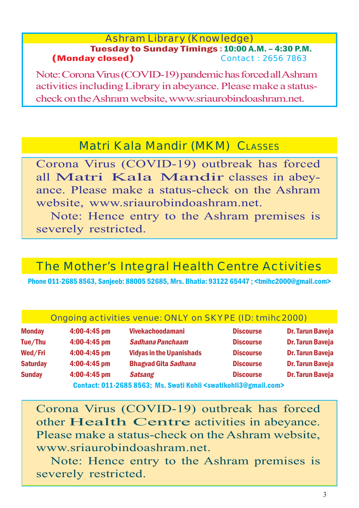## Ashram Library (Knowledge) Tuesday to Sunday Timings : 10:00 A.M. – 4:30 P.M. (Monday closed) *Contact :* 2656 7863

Note: Corona Virus (COVID-19) pandemic has forced all Ashram activities including Library in abeyance. Please make a statuscheck on the Ashram website, www.sriaurobindoashram.net.

# Matri Kala Mandir (MKM) CLASSES

Corona Virus (COVID-19) outbreak has forced all Matri Kala Mandir classes in abeyance. Please make a status-check on the Ashram website, www.sriaurobindoashram.net.

Note: Hence entry to the Ashram premises is severely restricted.

# The Mother's Integral Health Centre Activities

Phone 011-2685 8563, Sanjeeb: 88005 52685, Mrs. Bhatia: 93122 65447 ; <tmihc2000@gmail.com>

## Ongoing activities venue: ONLY on SKYPE (ID: tmihc2000) Monday 4:00-4:45 pm Vivekachoodamani Discourse Dr. Tarun Baveja Tue/Thu 4:00-4:45 pm Sadhana Panchaam Discourse Dr. Tarun Baveja Wed/Fri 4:00-4:45 pm Vidyas in the Upanishads Discourse Dr. Tarun Baveja Saturday 4:00-4:45 pm Bhagvad Gita Sadhana Discourse Dr. Tarun Baveja Sunday 4:00-4:45 pm Satsang Discourse Dr. Tarun Baveja Contact: 011-2685 8563; Ms. Swati Kohli <swatikohli3@gmail.com>

Corona Virus (COVID-19) outbreak has forced other Health Centre activities in abeyance. Please make a status-check on the Ashram website, www.sriaurobindoashram.net.

Note: Hence entry to the Ashram premises is severely restricted.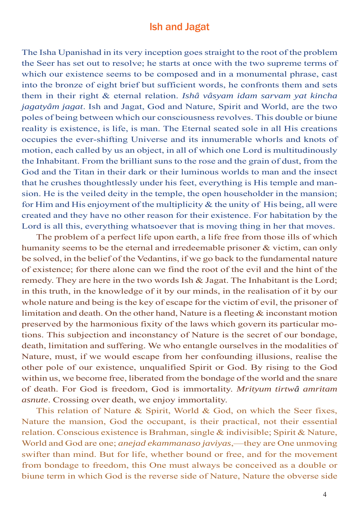## Ish and Jagat

The Isha Upanishad in its very inception goes straight to the root of the problem the Seer has set out to resolve; he starts at once with the two supreme terms of which our existence seems to be composed and in a monumental phrase, cast into the bronze of eight brief but sufficient words, he confronts them and sets them in their right & eternal relation. *Ishâ vâsyam idam sarvam yat kincha jagatyâm jagat*. Ish and Jagat, God and Nature, Spirit and World, are the two poles of being between which our consciousness revolves. This double or biune reality is existence, is life, is man. The Eternal seated sole in all His creations occupies the ever-shifting Universe and its innumerable whorls and knots of motion, each called by us an object, in all of which one Lord is multitudinously the Inhabitant. From the brilliant suns to the rose and the grain of dust, from the God and the Titan in their dark or their luminous worlds to man and the insect that he crushes thoughtlessly under his feet, everything is His temple and mansion. He is the veiled deity in the temple, the open householder in the mansion; for Him and His enjoyment of the multiplicity & the unity of His being, all were created and they have no other reason for their existence. For habitation by the Lord is all this, everything whatsoever that is moving thing in her that moves.

The problem of a perfect life upon earth, a life free from those ills of which humanity seems to be the eternal and irredeemable prisoner & victim, can only be solved, in the belief of the Vedantins, if we go back to the fundamental nature of existence; for there alone can we find the root of the evil and the hint of the remedy. They are here in the two words Ish & Jagat. The Inhabitant is the Lord; in this truth, in the knowledge of it by our minds, in the realisation of it by our whole nature and being is the key of escape for the victim of evil, the prisoner of limitation and death. On the other hand, Nature is a fleeting & inconstant motion preserved by the harmonious fixity of the laws which govern its particular motions. This subjection and inconstancy of Nature is the secret of our bondage, death, limitation and suffering. We who entangle ourselves in the modalities of Nature, must, if we would escape from her confounding illusions, realise the other pole of our existence, unqualified Spirit or God. By rising to the God within us, we become free, liberated from the bondage of the world and the snare of death. For God is freedom, God is immortality. *Mrityum tirtwâ amritam asnute*. Crossing over death, we enjoy immortality.

This relation of Nature & Spirit, World & God, on which the Seer fixes, Nature the mansion, God the occupant, is their practical, not their essential relation. Conscious existence is Brahman, single & indivisible; Spirit & Nature, World and God are one; *anejad ekammanaso javiyas*,—they are One unmoving swifter than mind. But for life, whether bound or free, and for the movement from bondage to freedom, this One must always be conceived as a double or biune term in which God is the reverse side of Nature, Nature the obverse side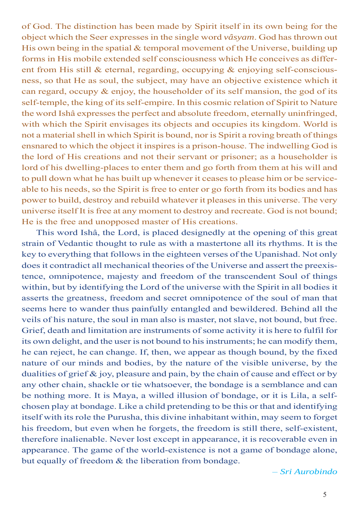of God. The distinction has been made by Spirit itself in its own being for the object which the Seer expresses in the single word *vâsyam*. God has thrown out His own being in the spatial  $&$  temporal movement of the Universe, building up forms in His mobile extended self consciousness which He conceives as different from His still & eternal, regarding, occupying & enjoying self-consciousness, so that He as soul, the subject, may have an objective existence which it can regard, occupy & enjoy, the householder of its self mansion, the god of its self-temple, the king of its self-empire. In this cosmic relation of Spirit to Nature the word Ishâ expresses the perfect and absolute freedom, eternally uninfringed, with which the Spirit envisages its objects and occupies its kingdom. World is not a material shell in which Spirit is bound, nor is Spirit a roving breath of things ensnared to which the object it inspires is a prison-house. The indwelling God is the lord of His creations and not their servant or prisoner; as a householder is lord of his dwelling-places to enter them and go forth from them at his will and to pull down what he has built up whenever it ceases to please him or be serviceable to his needs, so the Spirit is free to enter or go forth from its bodies and has power to build, destroy and rebuild whatever it pleases in this universe. The very universe itself It is free at any moment to destroy and recreate. God is not bound; He is the free and unopposed master of His creations.

This word Ishâ, the Lord, is placed designedly at the opening of this great strain of Vedantic thought to rule as with a mastertone all its rhythms. It is the key to everything that follows in the eighteen verses of the Upanishad. Not only does it contradict all mechanical theories of the Universe and assert the preexistence, omnipotence, majesty and freedom of the transcendent Soul of things within, but by identifying the Lord of the universe with the Spirit in all bodies it asserts the greatness, freedom and secret omnipotence of the soul of man that seems here to wander thus painfully entangled and bewildered. Behind all the veils of his nature, the soul in man also is master, not slave, not bound, but free. Grief, death and limitation are instruments of some activity it is here to fulfil for its own delight, and the user is not bound to his instruments; he can modify them, he can reject, he can change. If, then, we appear as though bound, by the fixed nature of our minds and bodies, by the nature of the visible universe, by the dualities of grief  $\&$  joy, pleasure and pain, by the chain of cause and effect or by any other chain, shackle or tie whatsoever, the bondage is a semblance and can be nothing more. It is Maya, a willed illusion of bondage, or it is Lila, a selfchosen play at bondage. Like a child pretending to be this or that and identifying itself with its role the Purusha, this divine inhabitant within, may seem to forget his freedom, but even when he forgets, the freedom is still there, self-existent, therefore inalienable. Never lost except in appearance, it is recoverable even in appearance. The game of the world-existence is not a game of bondage alone, but equally of freedom & the liberation from bondage.

– *Sri Aurobindo*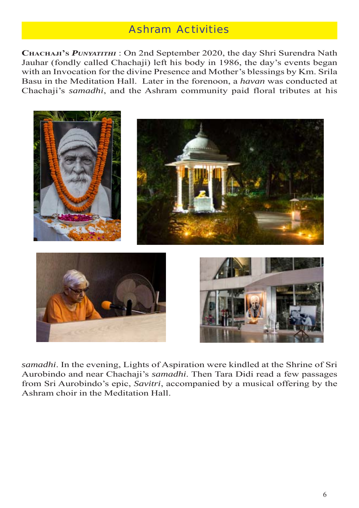## Ashram Activities

**CHACHAJI'S** *PUNYATITHI* : On 2nd September 2020, the day Shri Surendra Nath Jauhar (fondly called Chachaji) left his body in 1986, the day's events began with an Invocation for the divine Presence and Mother's blessings by Km. Srila Basu in the Meditation Hall. Later in the forenoon, a *havan* was conducted at Chachaji's *samadhi*, and the Ashram community paid floral tributes at his



*samadhi*. In the evening, Lights of Aspiration were kindled at the Shrine of Sri Aurobindo and near Chachaji's *samadhi*. Then Tara Didi read a few passages from Sri Aurobindo's epic, *Savitri*, accompanied by a musical offering by the Ashram choir in the Meditation Hall.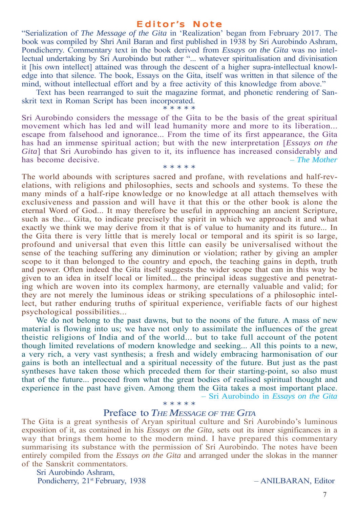#### Editor's Note

"Serialization of *The Message of the Gita* in 'Realization' began from February 2017. The book was compiled by Shri Anil Baran and first published in 1938 by Sri Aurobindo Ashram, Pondicherry. Commentary text in the book derived from *Essays on the Gita* was no intellectual undertaking by Sri Aurobindo but rather "... whatever spiritualisation and divinisation it [his own intellect] attained was through the descent of a higher supra-intellectual knowledge into that silence. The book, Essays on the Gita, itself was written in that silence of the mind, without intellectual effort and by a free activity of this knowledge from above."

Text has been rearranged to suit the magazine format, and phonetic rendering of Sanskrit text in Roman Script has been incorporated. \* \* \* \* \*

Sri Aurobindo considers the message of the Gita to be the basis of the great spiritual movement which has led and will lead humanity more and more to its liberation... escape from falsehood and ignorance... From the time of its first appearance, the Gita has had an immense spiritual action; but with the new interpretation [*Essays on the Gita*] that Sri Aurobindo has given to it, its influence has increased considerably and has become decisive. **Figure 1**  $\blacksquare$  *The Mother* \* \* \* \* \*

The world abounds with scriptures sacred and profane, with revelations and half-revelations, with religions and philosophies, sects and schools and systems. To these the many minds of a half-ripe knowledge or no knowledge at all attach themselves with exclusiveness and passion and will have it that this or the other book is alone the eternal Word of God... It may therefore be useful in approaching an ancient Scripture, such as the... Gita, to indicate precisely the spirit in which we approach it and what exactly we think we may derive from it that is of value to humanity and its future... In the Gita there is very little that is merely local or temporal and its spirit is so large, profound and universal that even this little can easily be universalised without the sense of the teaching suffering any diminution or violation; rather by giving an ampler scope to it than belonged to the country and epoch, the teaching gains in depth, truth and power. Often indeed the Gita itself suggests the wider scope that can in this way be given to an idea in itself local or limited... the principal ideas suggestive and penetrating which are woven into its complex harmony, are eternally valuable and valid; for they are not merely the luminous ideas or striking speculations of a philosophic intellect, but rather enduring truths of spiritual experience, verifiable facts of our highest psychological possibilities...

We do not belong to the past dawns, but to the noons of the future. A mass of new material is flowing into us; we have not only to assimilate the influences of the great theistic religions of India and of the world... but to take full account of the potent though limited revelations of modern knowledge and seeking... All this points to a new, a very rich, a very vast synthesis; a fresh and widely embracing harmonisation of our gains is both an intellectual and a spiritual necessity of the future. But just as the past syntheses have taken those which preceded them for their starting-point, so also must that of the future... proceed from what the great bodies of realised spiritual thought and experience in the past have given. Among them the Gita takes a most important place. – Sri Aurobindo in *Essays on the Gita* \* \* \* \* \*

#### Preface to *THE MESSAGE OF THE GITA*

The Gita is a great synthesis of Aryan spiritual culture and Sri Aurobindo's luminous exposition of it, as contained in his *Essays on the Gita*, sets out its inner significances in a way that brings them home to the modern mind. I have prepared this commentary summarising its substance with the permission of Sri Aurobindo. The notes have been entirely compiled from the *Essays on the Gita* and arranged under the slokas in the manner of the Sanskrit commentators.

 Sri Aurobindo Ashram, Pondicherry, 21<sup>st</sup> February, 1938 – ANILBARAN, Editor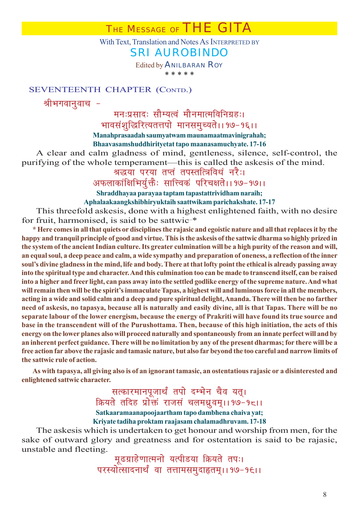# THE MESSAGE OF THE G

With Text, Translation and Notes As INTERPRETED BY

SRI AUROBINDO

Edited by ANILBARAN ROY

\* \* \* \* \*

#### SEVENTEENTH CHAPTER (CONTD.)

श्रीभगवानुवाच -

## मनःप्रसादः सौम्यत्वं मौनमात्मविनिग्रहः। भावसंशुद्धिरित्यतत्तपो मानसमुच्यते।। १७-१६।। **Manahprasaadah saumyatwam maunamaatmavinigrahah; Bhaavasamshuddhirityetat tapo maanasamuchyate. 17-16**

A clear and calm gladness of mind, gentleness, silence, self-control, the purifying of the whole temperament—this is called the askesis of the mind.

श्रद्धया परया तप्तं तपस्तत्त्रिविधं नरैः।

अफलाकांक्षिभिर्युक्तैः सात्त्विकं परिचक्षते।। १७-१७।।

**Shraddhayaa parayaa taptam tapastattrividham naraih; Aphalaakaangkshibhiryuktaih saattwikam parichakshate. 17-17**

This threefold askesis, done with a highest enlightened faith, with no desire for fruit, harmonised, is said to be sattwic<sup>\*</sup>

**\* Here comes in all that quiets or disciplines the rajasic and egoistic nature and all that replaces it by the happy and tranquil principle of good and virtue. This is the askesis of the sattwic dharma so highly prized in the system of the ancient Indian culture. Its greater culmination will be a high purity of the reason and will, an equal soul, a deep peace and calm, a wide sympathy and preparation of oneness, a reflection of the inner soul's divine gladness in the mind, life and body. There at that lofty point the ethical is already passing away into the spiritual type and character. And this culmination too can be made to transcend itself, can be raised into a higher and freer light, can pass away into the settled godlike energy of the supreme nature. And what will remain then will be the spirit's immaculate Tapas, a highest will and luminous force in all the members, acting in a wide and solid calm and a deep and pure spiritual delight, Ananda. There will then be no farther need of askesis, no tapasya, because all is naturally and easily divine, all is that Tapas. There will be no separate labour of the lower energism, because the energy of Prakriti will have found its true source and base in the transcendent will of the Purushottama. Then, because of this high initiation, the acts of this energy on the lower planes also will proceed naturally and spontaneously from an innate perfect will and by an inherent perfect guidance. There will be no limitation by any of the present dharmas; for there will be a free action far above the rajasic and tamasic nature, but also far beyond the too careful and narrow limits of the sattwic rule of action.**

**As with tapasya, all giving also is of an ignorant tamasic, an ostentatious rajasic or a disinterested and enlightened sattwic character.**

> सत्कारमानपूजार्थं तपो दम्भेन चैव यत<mark>्</mark>र। क्रियते तदिह प्रोक्तं राजसं चलमधुवम् । । १७-१८।। **Satkaaramaanapoojaartham tapo dambhena chaiva yat; Kriyate tadiha proktam raajasam chalamadhruvam. 17-18**

The askesis which is undertaken to get honour and worship from men, for the sake of outward glory and greatness and for ostentation is said to be rajasic, unstable and fleeting.

ewa - पूढग्राहेणात्मनो यत्पीडया क्रियते तपः।<br>परस्योत्सादनार्थं वा तत्तामसमुदाहृतम्।। 9७-१९।।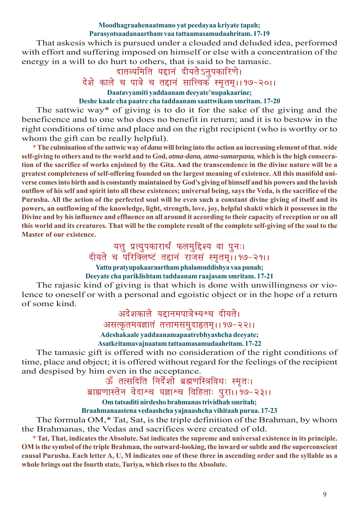#### **Moodhagraahenaatmano yat peedayaa kriyate tapah; Parasyotsaadanaartham vaa tattaamasamudaahritam. 17-19**

That askesis which is pursued under a clouded and deluded idea, performed with effort and suffering imposed on himself or else with a concentration of the energy in a will to do hurt to others, that is said to be tamasic.

## दातव्यमिति यद्दानं दीयते ऽनुपकारिणे।

देशे काले च पात्रे च तद्दानं सात्त्विकॅ स्मृतम् ।। १७-२०।।

#### **Daatavyamiti yaddaanam deeyate'nupakaarine;**

#### **Deshe kaale cha paatre cha taddaanam saattwikam smritam. 17-20**

The sattwic way\* of giving is to do it for the sake of the giving and the beneficence and to one who does no benefit in return; and it is to bestow in the right conditions of time and place and on the right recipient (who is worthy or to whom the gift can be really helpful).

**\* The culmination of the sattwic way of** *dana* **will bring into the action an increasing element of that. wide self-giving to others and to the world and to God,** *atma-dana, atma-samarpana,* **which is the high consecration of the sacrifice of works enjoined by the Gita. And the transcendence in the divine nature will be a greatest completeness of self-offering founded on the largest meaning of existence. All this manifold universe comes into birth and is constantly maintained by God's giving of himself and his powers and the lavish outflow of his self and spirit into all these existences; universal being, says the Veda, is the sacrifice of the Purusha. All the action of the perfected soul will be even such a constant divine giving of itself and its powers, an outflowing of the knowledge, light, strength, love, joy, helpful shakti which it possesses in the Divine and by his influence and effluence on all around it according to their capacity of reception or on all this world and its creatures. That will be the complete result of the complete self-giving of the soul to the Master of our existence.**

## यत्तु प्रत्युपकारार्थं फलमुद्दिश्य वा पुनः। वीयते च परिक्लिष्टं तद्दानं राजसं स्मृतम् । १७-२१।। **Yattu pratyupakaaraartham phalamuddishya vaa punah; Deeyate cha pariklishtam taddaanam raajasam smritam. 17-21**

The rajasic kind of giving is that which is done with unwillingness or violence to oneself or with a personal and egoistic object or in the hope of a return of some kind.

## अदेशकाले यहानमपात्रेभ्यश्च दीयते।

## असत्कृतमवज्ञातं तत्तामसमुदाहृतम् ।। १७-२२।।

## **Adeshakaale yaddaanamapaatrebhyashcha deeyate;**

### **Asatkritamavajnaatam tattaamasamudaahritam. 17-22**

The tamasic gift is offered with no consideration of the right conditions of time, place and object; it is offered without regard for the feelings of the recipient and despised by him even in the acceptance.

# ऊँ तत्सदिति निर्देशो ब्रह्मणस्त्रिविधः स्मृतः।

## ब्राह्मणास्तेन वेदाश्च यज्ञाश्च विहिताः पुराति १७-२३।।

#### **Om tatsaditi nirdesho brahmanas trividhah smritah;**

#### **Braahmanaastena vedaashcha yajnaashcha vihitaah puraa. 17-23**

The formula OM,\* Tat, Sat, is the triple definition of the Brahman, by whom the Brahmanas, the Vedas and sacrifices were created of old.

**\* Tat, That, indicates the Absolute. Sat indicates the supreme and universal existence in its principle. OM is the symbol of the triple Brahman, the outward-looking, the inward or subtle and the superconscient causal Purusha. Each letter A, U, M indicates one of these three in ascending order and the syllable as a whole brings out the fourth state, Turiya, which rises to the Absolute.**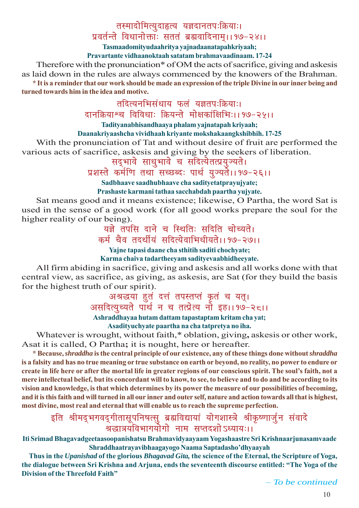## तस्मादोमित्युदाहृत्य यज्ञदानतपःक्रियाः। प्रवर्तन्ते विधानोक्ताः सततं ब्रह्मवादिनाम।। १७-२४।।

#### **Tasmaadomityudaahritya yajnadaanatapahkriyaah;**

## **Pravartante vidhaanoktaah satatam brahmavaadinaam. 17-24**

Therefore with the pronunciation\* of OM the acts of sacrifice, giving and askesis as laid down in the rules are always commenced by the knowers of the Brahman. **\* It is a reminder that our work should be made an expression of the triple Divine in our inner being and turned towards him in the idea and motive.**

#### $\overline{\mathsf{r}}$ तदित्यनभिसंधाय फलं यज्ञतपःक्रिया:। वानक्रियाश्च विविधाः क्रियन्ते मोक्षकांक्षिभिः।। १७-२५।।

## **Tadityanabhisandhaaya phalam yajnatapah kriyaah;**

### **Daanakriyaashcha vividhaah kriyante mokshakaangkshibhih. 17-25**

With the pronunciation of Tat and without desire of fruit are performed the various acts of sacrifice, askesis and giving by the seekers of liberation.

## सद्भावे साधुभावे च सदित्येतत्प्रयुज्यते।

## प्रशस्ते कर्मणि तथाँ सच्छब्दः पार्थ युज्यते।।१७-२६।।

# **Sadbhaave saadhubhaave cha sadityetatprayujyate;**

**Prashaste karmani tathaa sacchabdah paartha yujyate.**

Sat means good and it means existence; likewise, O Partha, the word Sat is used in the sense of a good work (for all good works prepare the soul for the higher reality of our being).

## यज्ञे तपसि दाने च स्थिति: सदिति चोच्यते। कर्म चैव तदर्थीयं सदित्येवाभिधीयते।। १७-२७।।

#### **Yajne tapasi daane cha sthitih saditi chochyate; Karma chaiva tadartheeyam sadityevaabhidheeyate.**

All firm abiding in sacrifice, giving and askesis and all works done with that central view, as sacrifice, as giving, as askesis, are Sat (for they build the basis for the highest truth of our spirit).

## अश्रद्धया हुतं दत्तं तपस्तप्तं कृतं च यत्। असदित्यूच्यते पार्थ न च तत्प्रेत्य नो इहा। १७-२८।।

#### **Ashraddhayaa hutam dattam tapastaptam kritam cha yat; Asadityuchyate paartha na cha tatpretya no iha.**

Whatever is wrought, without faith,\* oblation, giving**,** askesis or other work, Asat it is called, O Partha**;** it is nought, here or hereafter.

**\* Because,** *shraddha* **is the central principle of our existence, any of these things done without** *shraddha* **is a falsity and has no true meaning or true substance on earth or beyond, no reality, no power to endure or create in life here or after the mortal life in greater regions of our conscious spirit. The soul's faith, not a mere intellectual belief, but its concordant will to know, to see, to believe and to do and be according to its vision and knowledge, is that which determines by its power the measure of our possibilities of becoming, and it is this faith and will turned in all our inner and outer self, nature and action towards all that is highest, most divine, most real and eternal that will enable us to reach the supreme perfection.**

## इति श्रीमद्भगवद्**गीतासूपनिषत्सु ब्रह्मविद्यायां योगशास्त्रे** श्रीकृष्णार्जुन संवादे श्रद्धात्रयविभागयोगो नाम सप्तदशो $\,$ ध्यायः।।

**Iti Srimad Bhagavadgeetaasoopanishatsu Brahmavidyaayaam Yogashaastre Sri Krishnaarjunasamvaade Shraddhaatrayavibhaagayogo Naama Saptadasho'dhyaayah**

**Thus in the** *Upanishad* **of the glorious** *Bhagavad Gita,* **the science of the Eternal, the Scripture of Yoga, the dialogue between Sri Krishna and Arjuna, ends the seventeenth discourse entitled: "The Yoga of the Division of the Threefold Faith"**